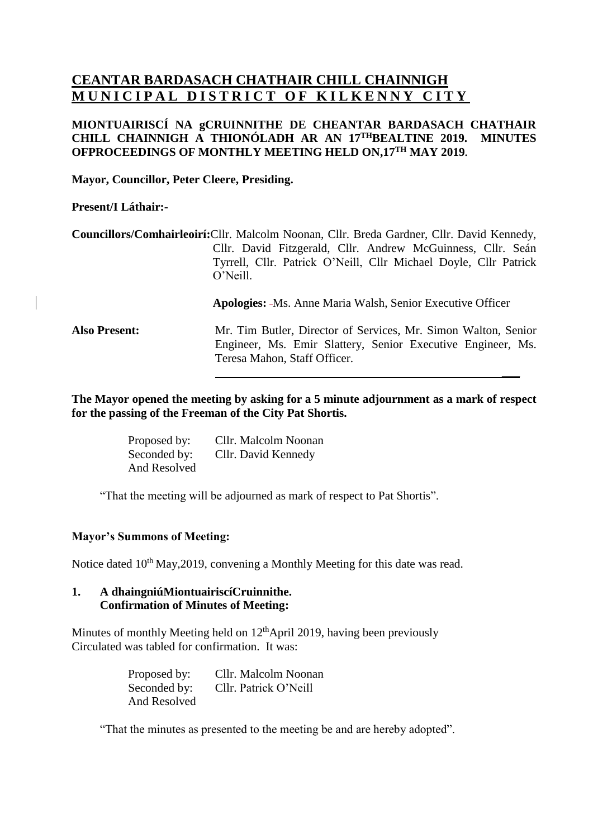# **CEANTAR BARDASACH CHATHAIR CHILL CHAINNIGH MUNICIPAL DISTRICT OF KILKENNY CITY**

## **MIONTUAIRISCÍ NA gCRUINNITHE DE CHEANTAR BARDASACH CHATHAIR CHILL CHAINNIGH A THIONÓLADH AR AN 17 THBEALTINE 2019. MINUTES OFPROCEEDINGS OF MONTHLY MEETING HELD ON,17 TH MAY 2019.**

**Mayor, Councillor, Peter Cleere, Presiding.**

**Present/I Láthair:-**

**Councillors/Comhairleoirí:**Cllr. Malcolm Noonan, Cllr. Breda Gardner, Cllr. David Kennedy, Cllr. David Fitzgerald, Cllr. Andrew McGuinness, Cllr. Seán Tyrrell, Cllr. Patrick O'Neill, Cllr Michael Doyle, Cllr Patrick O'Neill.

**Apologies:** Ms. Anne Maria Walsh, Senior Executive Officer

**\_\_\_**

**Also Present:** Mr. Tim Butler, Director of Services, Mr. Simon Walton, Senior Engineer, Ms. Emir Slattery, Senior Executive Engineer, Ms. Teresa Mahon, Staff Officer.

**The Mayor opened the meeting by asking for a 5 minute adjournment as a mark of respect for the passing of the Freeman of the City Pat Shortis.**

| Proposed by: | Cllr. Malcolm Noonan |
|--------------|----------------------|
| Seconded by: | Cllr. David Kennedy  |
| And Resolved |                      |

"That the meeting will be adjourned as mark of respect to Pat Shortis".

# **Mayor's Summons of Meeting:**

Notice dated 10<sup>th</sup> May, 2019, convening a Monthly Meeting for this date was read.

#### **1. A dhaingniúMiontuairiscíCruinnithe. Confirmation of Minutes of Meeting:**

Minutes of monthly Meeting held on 12<sup>th</sup>April 2019, having been previously Circulated was tabled for confirmation. It was:

> Proposed by: Cllr. Malcolm Noonan Seconded by: Cllr. Patrick O'Neill And Resolved

"That the minutes as presented to the meeting be and are hereby adopted".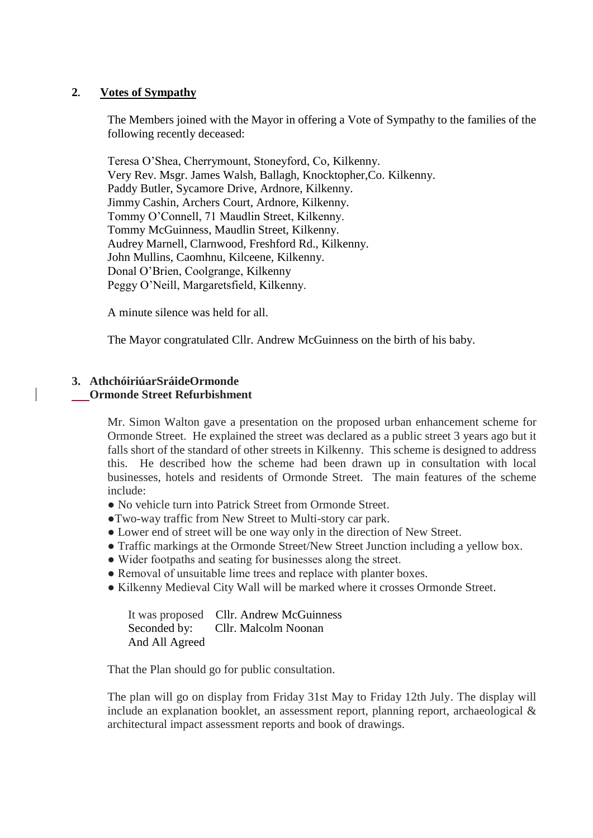#### **2. Votes of Sympathy**

The Members joined with the Mayor in offering a Vote of Sympathy to the families of the following recently deceased:

Teresa O'Shea, Cherrymount, Stoneyford, Co, Kilkenny. Very Rev. Msgr. James Walsh, Ballagh, Knocktopher,Co. Kilkenny. Paddy Butler, Sycamore Drive, Ardnore, Kilkenny. Jimmy Cashin, Archers Court, Ardnore, Kilkenny. Tommy O'Connell, 71 Maudlin Street, Kilkenny. Tommy McGuinness, Maudlin Street, Kilkenny. Audrey Marnell, Clarnwood, Freshford Rd., Kilkenny. John Mullins, Caomhnu, Kilceene, Kilkenny. Donal O'Brien, Coolgrange, Kilkenny Peggy O'Neill, Margaretsfield, Kilkenny.

A minute silence was held for all.

The Mayor congratulated Cllr. Andrew McGuinness on the birth of his baby.

#### **3. AthchóiriúarSráideOrmonde Ormonde Street Refurbishment**

Mr. Simon Walton gave a presentation on the proposed urban enhancement scheme for Ormonde Street. He explained the street was declared as a public street 3 years ago but it falls short of the standard of other streets in Kilkenny. This scheme is designed to address this. He described how the scheme had been drawn up in consultation with local businesses, hotels and residents of Ormonde Street. The main features of the scheme include:

- No vehicle turn into Patrick Street from Ormonde Street.
- ●Two-way traffic from New Street to Multi-story car park.
- Lower end of street will be one way only in the direction of New Street.
- Traffic markings at the Ormonde Street/New Street Junction including a yellow box.
- Wider footpaths and seating for businesses along the street.
- Removal of unsuitable lime trees and replace with planter boxes.
- Kilkenny Medieval City Wall will be marked where it crosses Ormonde Street.

|                | It was proposed Cllr. Andrew McGuinness |
|----------------|-----------------------------------------|
|                | Seconded by: Cllr. Malcolm Noonan       |
| And All Agreed |                                         |

That the Plan should go for public consultation.

The plan will go on display from Friday 31st May to Friday 12th July. The display will include an explanation booklet, an assessment report, planning report, archaeological & architectural impact assessment reports and book of drawings.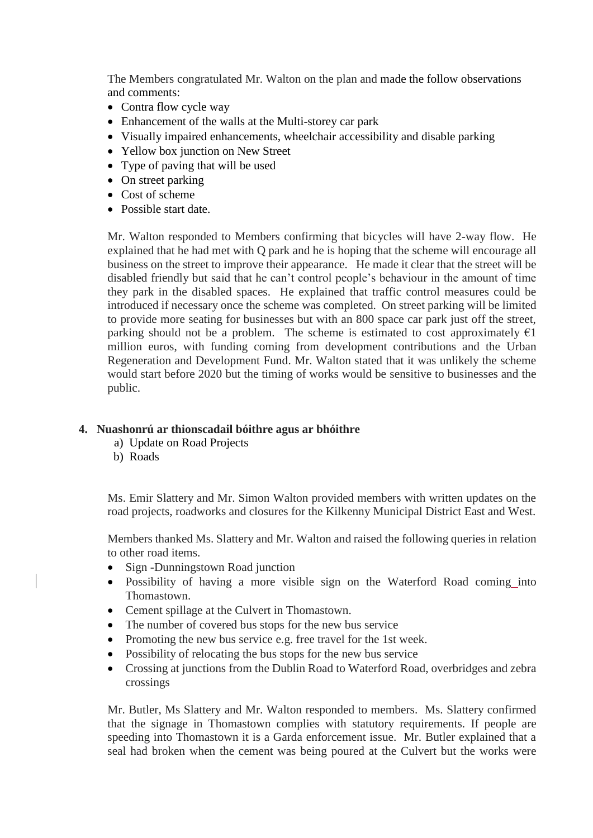The Members congratulated Mr. Walton on the plan and made the follow observations and comments:

- Contra flow cycle way
- Enhancement of the walls at the Multi-storey car park
- Visually impaired enhancements, wheelchair accessibility and disable parking
- Yellow box junction on New Street
- Type of paving that will be used
- On street parking
- Cost of scheme
- Possible start date.

Mr. Walton responded to Members confirming that bicycles will have 2-way flow. He explained that he had met with Q park and he is hoping that the scheme will encourage all business on the street to improve their appearance. He made it clear that the street will be disabled friendly but said that he can't control people's behaviour in the amount of time they park in the disabled spaces. He explained that traffic control measures could be introduced if necessary once the scheme was completed. On street parking will be limited to provide more seating for businesses but with an 800 space car park just off the street, parking should not be a problem. The scheme is estimated to cost approximately  $\epsilon_1$ million euros, with funding coming from development contributions and the Urban Regeneration and Development Fund. Mr. Walton stated that it was unlikely the scheme would start before 2020 but the timing of works would be sensitive to businesses and the public.

# **4. Nuashonrú ar thionscadail bóithre agus ar bhóithre**

- a) Update on Road Projects
- b) Roads

Ms. Emir Slattery and Mr. Simon Walton provided members with written updates on the road projects, roadworks and closures for the Kilkenny Municipal District East and West.

Members thanked Ms. Slattery and Mr. Walton and raised the following queries in relation to other road items.

- Sign -Dunningstown Road junction
- Possibility of having a more visible sign on the Waterford Road coming into Thomastown.
- Cement spillage at the Culvert in Thomastown.
- The number of covered bus stops for the new bus service
- Promoting the new bus service e.g. free travel for the 1st week.
- Possibility of relocating the bus stops for the new bus service
- Crossing at junctions from the Dublin Road to Waterford Road, overbridges and zebra crossings

Mr. Butler, Ms Slattery and Mr. Walton responded to members. Ms. Slattery confirmed that the signage in Thomastown complies with statutory requirements. If people are speeding into Thomastown it is a Garda enforcement issue. Mr. Butler explained that a seal had broken when the cement was being poured at the Culvert but the works were